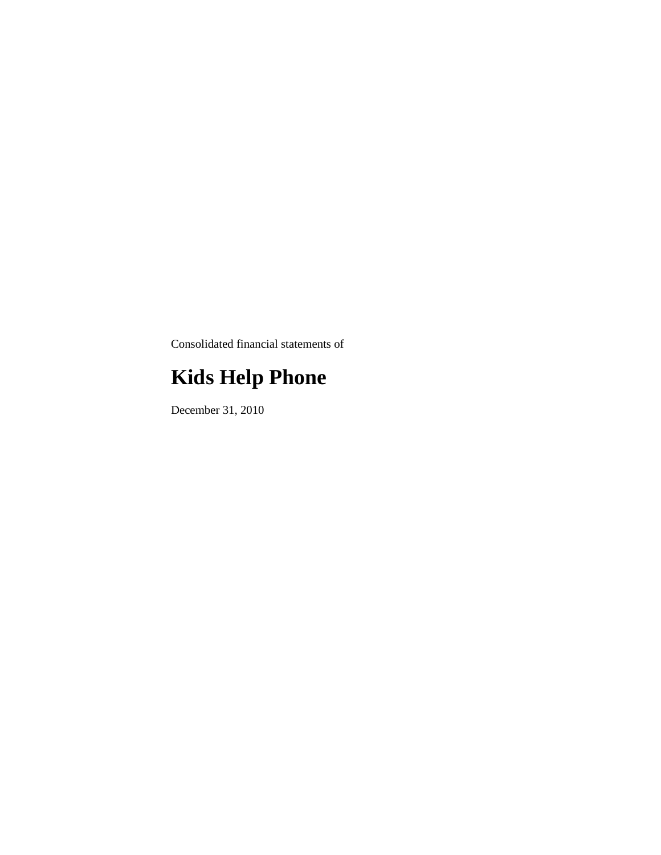Consolidated financial statements of

# **Kids Help Phone**

December 31, 2010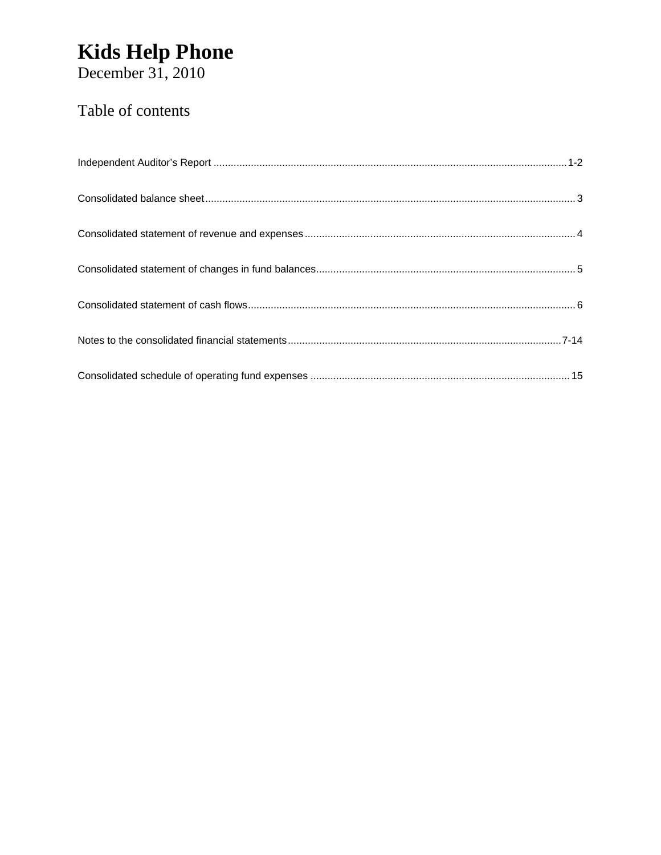# Kids Help Phone<br>December 31, 2010

### Table of contents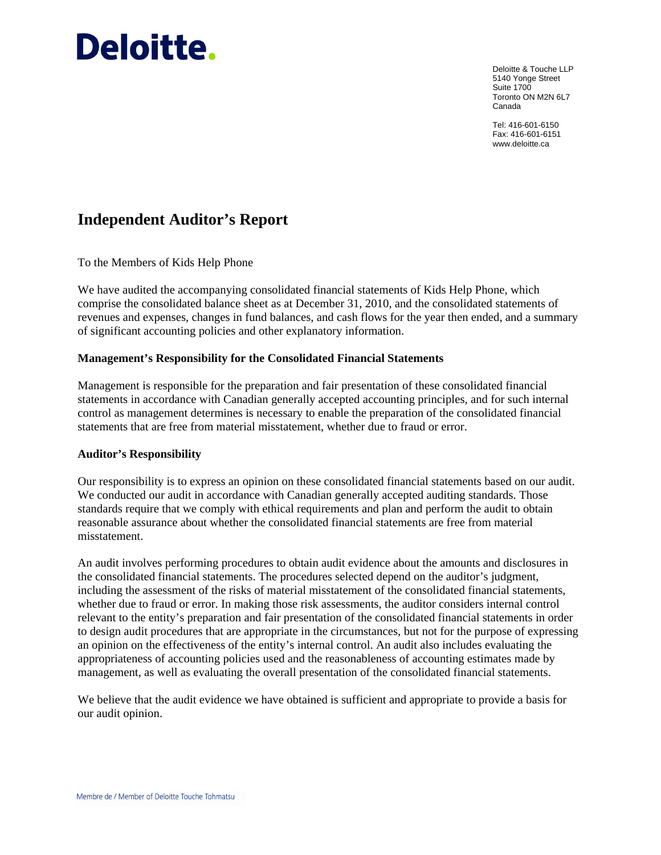# Deloitte.

Deloitte & Touche LLP 5140 Yonge Street Suite 1700 Toronto ON M2N 6L7 Canada

Tel: 416-601-6150 Fax: 416-601-6151 www.deloitte.ca

### **Independent Auditor's Report**

To the Members of Kids Help Phone

We have audited the accompanying consolidated financial statements of Kids Help Phone, which comprise the consolidated balance sheet as at December 31, 2010, and the consolidated statements of revenues and expenses, changes in fund balances, and cash flows for the year then ended, and a summary of significant accounting policies and other explanatory information.

#### **Management's Responsibility for the Consolidated Financial Statements**

Management is responsible for the preparation and fair presentation of these consolidated financial statements in accordance with Canadian generally accepted accounting principles, and for such internal control as management determines is necessary to enable the preparation of the consolidated financial statements that are free from material misstatement, whether due to fraud or error.

#### **Auditor's Responsibility**

Our responsibility is to express an opinion on these consolidated financial statements based on our audit. We conducted our audit in accordance with Canadian generally accepted auditing standards. Those standards require that we comply with ethical requirements and plan and perform the audit to obtain reasonable assurance about whether the consolidated financial statements are free from material misstatement.

An audit involves performing procedures to obtain audit evidence about the amounts and disclosures in the consolidated financial statements. The procedures selected depend on the auditor's judgment, including the assessment of the risks of material misstatement of the consolidated financial statements, whether due to fraud or error. In making those risk assessments, the auditor considers internal control relevant to the entity's preparation and fair presentation of the consolidated financial statements in order to design audit procedures that are appropriate in the circumstances, but not for the purpose of expressing an opinion on the effectiveness of the entity's internal control. An audit also includes evaluating the appropriateness of accounting policies used and the reasonableness of accounting estimates made by management, as well as evaluating the overall presentation of the consolidated financial statements.

We believe that the audit evidence we have obtained is sufficient and appropriate to provide a basis for our audit opinion.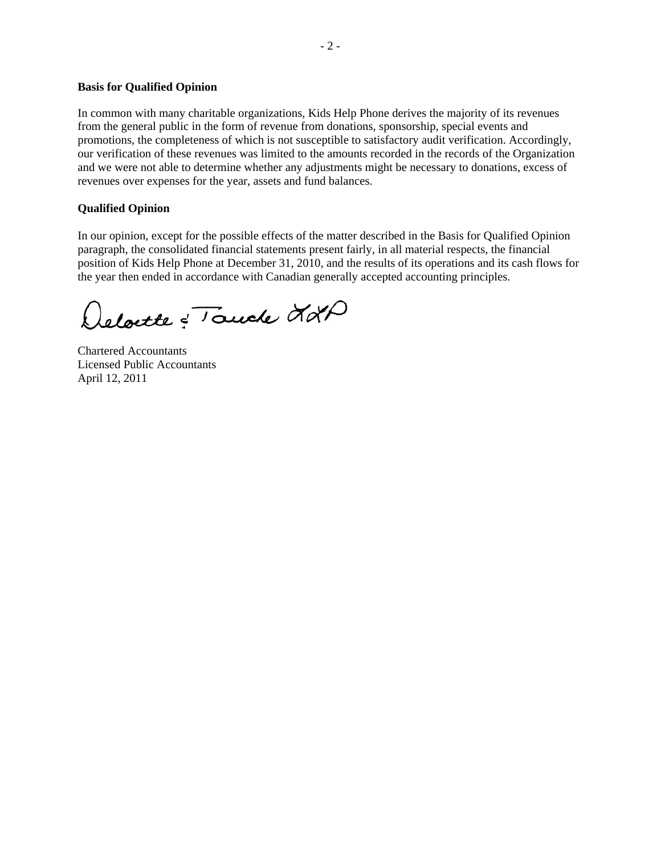#### **Basis for Qualified Opinion**

In common with many charitable organizations, Kids Help Phone derives the majority of its revenues from the general public in the form of revenue from donations, sponsorship, special events and promotions, the completeness of which is not susceptible to satisfactory audit verification. Accordingly, our verification of these revenues was limited to the amounts recorded in the records of the Organization and we were not able to determine whether any adjustments might be necessary to donations, excess of revenues over expenses for the year, assets and fund balances.

#### **Qualified Opinion**

In our opinion, except for the possible effects of the matter described in the Basis for Qualified Opinion paragraph, the consolidated financial statements present fairly, in all material respects, the financial position of Kids Help Phone at December 31, 2010, and the results of its operations and its cash flows for the year then ended in accordance with Canadian generally accepted accounting principles.

Relatte & Touche OXP

Chartered Accountants Licensed Public Accountants April 12, 2011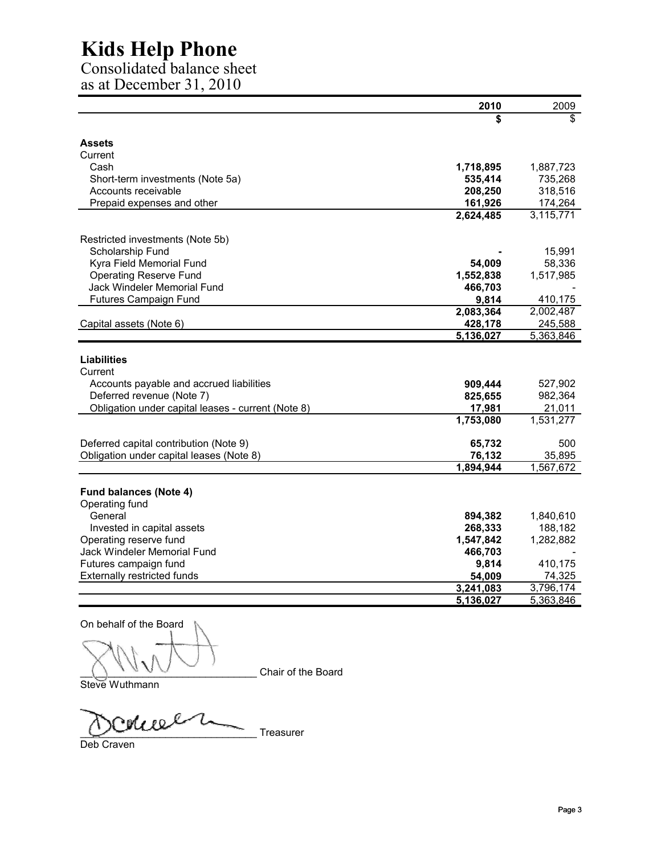Consolidated balance sheet as at December 31, 2010

| 2010                                                         | 2009      |
|--------------------------------------------------------------|-----------|
|                                                              | \$<br>\$  |
| <b>Assets</b>                                                |           |
| Current                                                      |           |
| Cash<br>1,718,895                                            | 1,887,723 |
| Short-term investments (Note 5a)<br>535,414                  | 735,268   |
| Accounts receivable<br>208,250                               | 318,516   |
| Prepaid expenses and other<br>161,926                        | 174,264   |
| 2,624,485                                                    | 3,115,771 |
|                                                              |           |
| Restricted investments (Note 5b)<br>Scholarship Fund         | 15,991    |
| Kyra Field Memorial Fund<br>54,009                           | 58,336    |
| <b>Operating Reserve Fund</b><br>1,552,838                   | 1,517,985 |
| Jack Windeler Memorial Fund<br>466,703                       |           |
| Futures Campaign Fund<br>9,814                               | 410,175   |
| 2,083,364                                                    | 2,002,487 |
| Capital assets (Note 6)<br>428,178                           | 245,588   |
| 5,136,027                                                    | 5,363,846 |
|                                                              |           |
| Liabilities                                                  |           |
| Current                                                      |           |
| Accounts payable and accrued liabilities<br>909,444          | 527,902   |
| Deferred revenue (Note 7)<br>825,655                         | 982,364   |
| Obligation under capital leases - current (Note 8)<br>17,981 | 21,011    |
| 1,753,080                                                    | 1,531,277 |
| Deferred capital contribution (Note 9)<br>65,732             | 500       |
| Obligation under capital leases (Note 8)<br>76,132           | 35,895    |
| 1,894,944                                                    | 1,567,672 |
| Fund balances (Note 4)                                       |           |
| Operating fund                                               |           |
| General<br>894,382                                           | 1,840,610 |
| 268,333<br>Invested in capital assets                        | 188,182   |
| Operating reserve fund<br>1,547,842                          | 1,282,882 |
| Jack Windeler Memorial Fund<br>466,703                       |           |
| Futures campaign fund<br>9,814                               | 410,175   |
| <b>Externally restricted funds</b><br>54,009                 | 74,325    |
| 3,241,083                                                    | 3,796,174 |
| 5,136,027                                                    | 5,363,846 |

On behalf of the Board

\_\_\_\_\_\_\_\_\_\_\_\_\_\_\_\_\_\_\_\_\_\_\_\_\_\_\_\_\_\_\_ Chair of the Board

Steve Wuthmann

\_\_\_\_\_\_\_\_\_\_\_\_\_\_\_\_\_\_\_\_\_\_\_\_\_\_\_\_\_\_\_ Treasurer

Deb Craven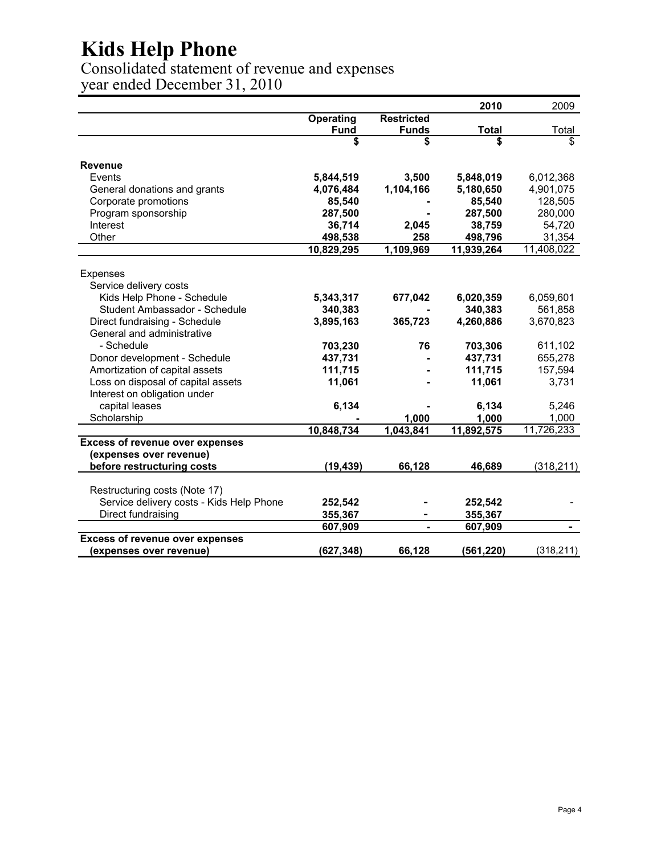Consolidated statement of revenue and expenses

year ended December 31, 2010

|                                          |                  |                   | 2010                | 2009       |
|------------------------------------------|------------------|-------------------|---------------------|------------|
|                                          | <b>Operating</b> | <b>Restricted</b> |                     |            |
|                                          | <b>Fund</b>      | <b>Funds</b>      | Total               | Total      |
|                                          |                  |                   | \$                  |            |
| <b>Revenue</b>                           |                  |                   |                     |            |
| Events                                   | 5,844,519        | 3,500             | 5,848,019           | 6,012,368  |
| General donations and grants             | 4,076,484        | 1,104,166         | 5,180,650           | 4,901,075  |
| Corporate promotions                     | 85,540           |                   | 85,540              | 128,505    |
| Program sponsorship                      | 287,500          |                   | 287,500             | 280,000    |
| Interest                                 | 36,714           | 2,045             | 38,759              | 54,720     |
| Other                                    | 498,538          | 258               | 498,796             | 31,354     |
|                                          | 10,829,295       | 1,109,969         | 11,939,264          | 11,408,022 |
|                                          |                  |                   |                     |            |
| Expenses                                 |                  |                   |                     |            |
| Service delivery costs                   |                  |                   |                     |            |
| Kids Help Phone - Schedule               | 5,343,317        | 677,042           | 6,020,359           | 6,059,601  |
| Student Ambassador - Schedule            | 340,383          |                   | 340,383             | 561,858    |
| Direct fundraising - Schedule            | 3,895,163        | 365,723           | 4,260,886           | 3,670,823  |
| General and administrative               |                  |                   |                     |            |
| - Schedule                               | 703,230          | 76                | 703,306             | 611,102    |
| Donor development - Schedule             | 437,731          |                   | 437,731             | 655,278    |
| Amortization of capital assets           | 111,715          |                   | 111,715             | 157,594    |
| Loss on disposal of capital assets       | 11,061           |                   | 11,061              | 3,731      |
| Interest on obligation under             |                  |                   |                     |            |
| capital leases                           | 6,134            |                   | 6,134               | 5,246      |
| Scholarship                              |                  | 1,000             |                     | 1,000      |
|                                          | 10,848,734       | 1,043,841         | 1,000<br>11,892,575 | 11,726,233 |
| <b>Excess of revenue over expenses</b>   |                  |                   |                     |            |
| (expenses over revenue)                  |                  |                   |                     |            |
| before restructuring costs               | (19, 439)        | 66,128            | 46,689              | (318, 211) |
|                                          |                  |                   |                     |            |
| Restructuring costs (Note 17)            |                  |                   |                     |            |
| Service delivery costs - Kids Help Phone | 252,542          |                   | 252,542             |            |
| Direct fundraising                       | 355,367          |                   | 355,367             |            |
|                                          | 607,909          | ä,                | 607,909             |            |
| <b>Excess of revenue over expenses</b>   |                  |                   |                     |            |
| (expenses over revenue)                  | (627, 348)       | 66,128            | (561, 220)          | (318, 211) |
|                                          |                  |                   |                     |            |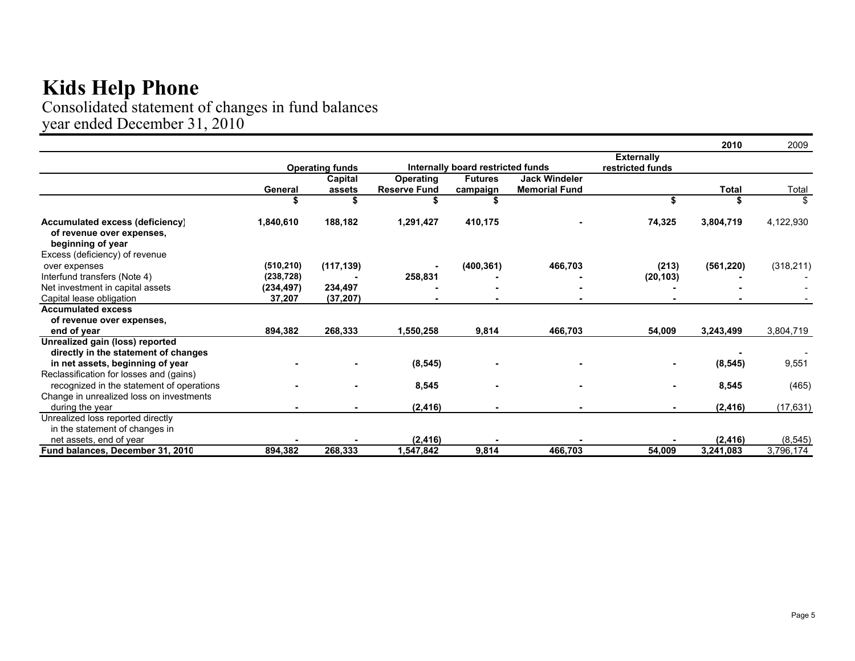**Kids Help Phone** Consolidated statement of changes in fund balances year ended December 31, 2010

|                                                                                   |            |                        |                                  |                                   |                                              |                   | 2010         | 2009       |
|-----------------------------------------------------------------------------------|------------|------------------------|----------------------------------|-----------------------------------|----------------------------------------------|-------------------|--------------|------------|
|                                                                                   |            |                        |                                  |                                   |                                              | <b>Externally</b> |              |            |
|                                                                                   |            | <b>Operating funds</b> |                                  | Internally board restricted funds |                                              | restricted funds  |              |            |
|                                                                                   | General    | Capital<br>assets      | Operating<br><b>Reserve Fund</b> | <b>Futures</b><br>campaign        | <b>Jack Windeler</b><br><b>Memorial Fund</b> |                   | <b>Total</b> | Total      |
|                                                                                   |            | S                      |                                  |                                   |                                              |                   |              |            |
| Accumulated excess (deficiency)<br>of revenue over expenses,<br>beginning of year | 1,840,610  | 188,182                | 1,291,427                        | 410,175                           |                                              | 74,325            | 3,804,719    | 4,122,930  |
| Excess (deficiency) of revenue                                                    |            |                        |                                  |                                   |                                              |                   |              |            |
| over expenses                                                                     | (510, 210) | (117, 139)             | $\blacksquare$                   | (400, 361)                        | 466,703                                      | (213)             | (561.220)    | (318, 211) |
| Interfund transfers (Note 4)                                                      | (238, 728) |                        | 258,831                          |                                   |                                              | (20, 103)         |              |            |
| Net investment in capital assets                                                  | (234, 497) | 234,497                |                                  |                                   |                                              |                   |              |            |
| Capital lease obligation                                                          | 37,207     | (37, 207)              |                                  |                                   |                                              |                   |              |            |
| <b>Accumulated excess</b>                                                         |            |                        |                                  |                                   |                                              |                   |              |            |
| of revenue over expenses,                                                         |            |                        |                                  |                                   |                                              |                   |              |            |
| end of year                                                                       | 894,382    | 268,333                | 1,550,258                        | 9,814                             | 466,703                                      | 54,009            | 3,243,499    | 3,804,719  |
| Unrealized gain (loss) reported                                                   |            |                        |                                  |                                   |                                              |                   |              |            |
| directly in the statement of changes                                              |            |                        |                                  |                                   |                                              |                   |              |            |
| in net assets, beginning of year                                                  |            |                        | (8, 545)                         |                                   |                                              | $\blacksquare$    | (8, 545)     | 9,551      |
| Reclassification for losses and (gains)                                           |            |                        |                                  |                                   |                                              |                   |              |            |
| recognized in the statement of operations                                         |            |                        | 8,545                            |                                   |                                              | $\blacksquare$    | 8,545        | (465)      |
| Change in unrealized loss on investments                                          |            |                        |                                  |                                   |                                              |                   |              |            |
| during the year                                                                   |            |                        | (2, 416)                         |                                   |                                              |                   | (2, 416)     | (17, 631)  |
| Unrealized loss reported directly                                                 |            |                        |                                  |                                   |                                              |                   |              |            |
| in the statement of changes in                                                    |            |                        |                                  |                                   |                                              |                   |              |            |
| net assets, end of year                                                           |            |                        | (2, 416)                         |                                   |                                              |                   | (2, 416)     | (8, 545)   |
| Fund balances, December 31, 2010                                                  | 894,382    | 268,333                | 1,547,842                        | 9,814                             | 466,703                                      | 54,009            | 3,241,083    | 3,796,174  |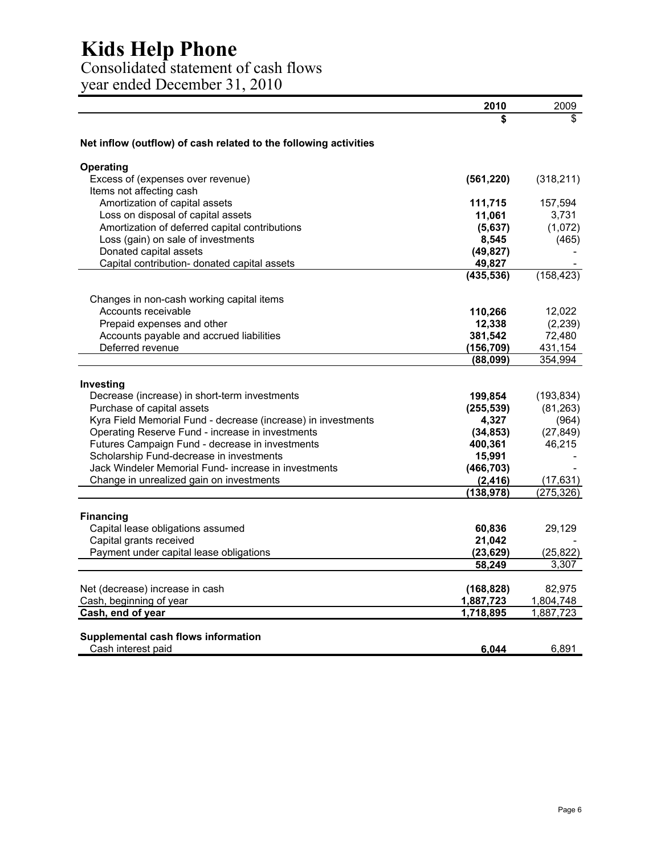Consolidated statement of cash flows

year ended December 31, 2010

|                                                                  | 2010       | 2009            |
|------------------------------------------------------------------|------------|-----------------|
|                                                                  | \$         | $\overline{\$}$ |
| Net inflow (outflow) of cash related to the following activities |            |                 |
| Operating                                                        |            |                 |
| Excess of (expenses over revenue)                                | (561, 220) | (318, 211)      |
| Items not affecting cash                                         |            |                 |
| Amortization of capital assets                                   | 111,715    | 157,594         |
| Loss on disposal of capital assets                               | 11,061     | 3,731           |
| Amortization of deferred capital contributions                   | (5,637)    | (1,072)         |
| Loss (gain) on sale of investments                               | 8,545      | (465)           |
| Donated capital assets                                           | (49, 827)  |                 |
| Capital contribution- donated capital assets                     | 49,827     |                 |
|                                                                  | (435, 536) | (158, 423)      |
| Changes in non-cash working capital items                        |            |                 |
| Accounts receivable                                              | 110,266    | 12,022          |
| Prepaid expenses and other                                       | 12,338     | (2, 239)        |
| Accounts payable and accrued liabilities                         | 381,542    | 72,480          |
| Deferred revenue                                                 | (156, 709) | 431,154         |
|                                                                  | (88,099)   | 354,994         |
|                                                                  |            |                 |
| Investing                                                        |            |                 |
| Decrease (increase) in short-term investments                    | 199,854    | (193, 834)      |
| Purchase of capital assets                                       | (255, 539) | (81, 263)       |
| Kyra Field Memorial Fund - decrease (increase) in investments    | 4,327      | (964)           |
| Operating Reserve Fund - increase in investments                 | (34, 853)  | (27, 849)       |
| Futures Campaign Fund - decrease in investments                  | 400,361    | 46,215          |
| Scholarship Fund-decrease in investments                         | 15,991     |                 |
| Jack Windeler Memorial Fund- increase in investments             |            |                 |
|                                                                  | (466, 703) |                 |
| Change in unrealized gain on investments                         | (2, 416)   | (17, 631)       |
|                                                                  | (138, 978) | (275, 326)      |
|                                                                  |            |                 |
| <b>Financing</b>                                                 |            |                 |
| Capital lease obligations assumed                                | 60,836     | 29,129          |
| Capital grants received                                          | 21,042     |                 |
| Payment under capital lease obligations                          | (23, 629)  | (25, 822)       |
|                                                                  | 58,249     | 3,307           |
|                                                                  |            |                 |
| Net (decrease) increase in cash                                  | (168, 828) | 82,975          |
| Cash, beginning of year                                          | 1,887,723  | 1,804,748       |
| Cash, end of year                                                | 1,718,895  | 1,887,723       |
| Supplemental cash flows information                              |            |                 |
|                                                                  |            |                 |
| Cash interest paid                                               | 6,044      | 6,891           |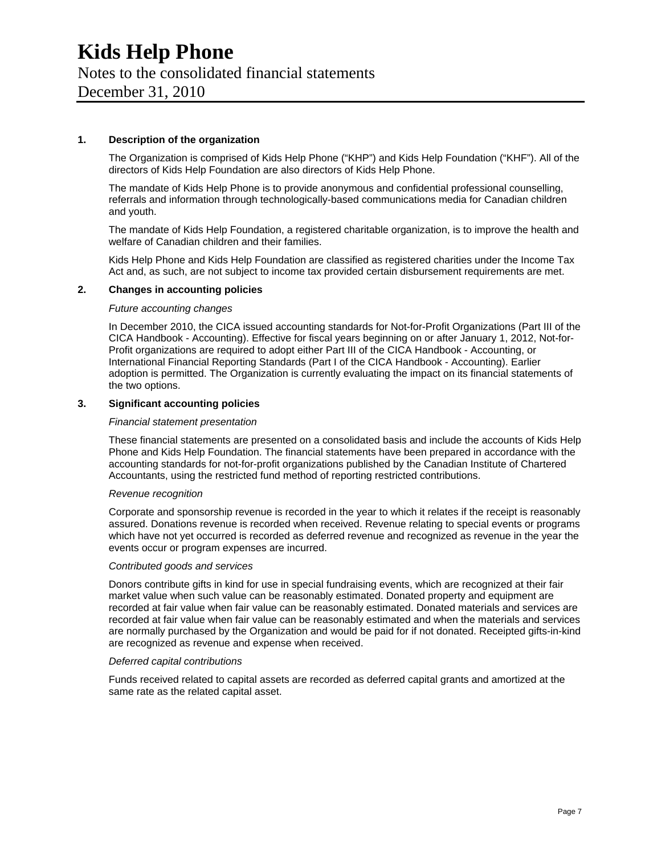### **Kids Help Phone**  Notes to the consolidated financial statements

December 31, 2010

#### **1. Description of the organization**

The Organization is comprised of Kids Help Phone ("KHP") and Kids Help Foundation ("KHF"). All of the directors of Kids Help Foundation are also directors of Kids Help Phone.

The mandate of Kids Help Phone is to provide anonymous and confidential professional counselling, referrals and information through technologically-based communications media for Canadian children and youth.

The mandate of Kids Help Foundation, a registered charitable organization, is to improve the health and welfare of Canadian children and their families.

Kids Help Phone and Kids Help Foundation are classified as registered charities under the Income Tax Act and, as such, are not subject to income tax provided certain disbursement requirements are met.

#### **2. Changes in accounting policies**

#### *Future accounting changes*

In December 2010, the CICA issued accounting standards for Not-for-Profit Organizations (Part III of the CICA Handbook - Accounting). Effective for fiscal years beginning on or after January 1, 2012, Not-for-Profit organizations are required to adopt either Part III of the CICA Handbook - Accounting, or International Financial Reporting Standards (Part I of the CICA Handbook - Accounting). Earlier adoption is permitted. The Organization is currently evaluating the impact on its financial statements of the two options.

#### **3. Significant accounting policies**

#### *Financial statement presentation*

These financial statements are presented on a consolidated basis and include the accounts of Kids Help Phone and Kids Help Foundation. The financial statements have been prepared in accordance with the accounting standards for not-for-profit organizations published by the Canadian Institute of Chartered Accountants, using the restricted fund method of reporting restricted contributions.

#### *Revenue recognition*

Corporate and sponsorship revenue is recorded in the year to which it relates if the receipt is reasonably assured. Donations revenue is recorded when received. Revenue relating to special events or programs which have not yet occurred is recorded as deferred revenue and recognized as revenue in the year the events occur or program expenses are incurred.

#### *Contributed goods and services*

Donors contribute gifts in kind for use in special fundraising events, which are recognized at their fair market value when such value can be reasonably estimated. Donated property and equipment are recorded at fair value when fair value can be reasonably estimated. Donated materials and services are recorded at fair value when fair value can be reasonably estimated and when the materials and services are normally purchased by the Organization and would be paid for if not donated. Receipted gifts-in-kind are recognized as revenue and expense when received.

#### *Deferred capital contributions*

Funds received related to capital assets are recorded as deferred capital grants and amortized at the same rate as the related capital asset.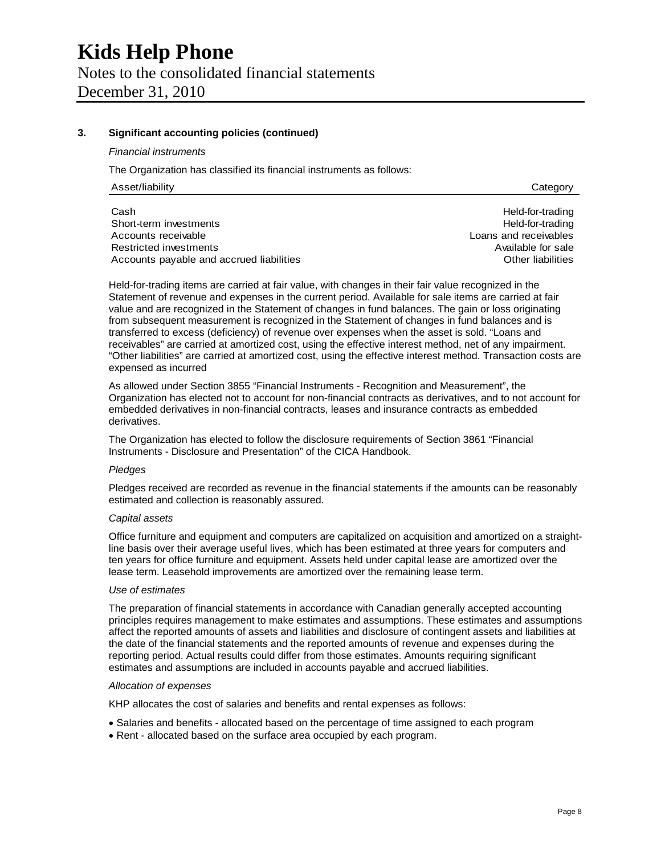### **Kids Help Phone**  Notes to the consolidated financial statements December 31, 2010

#### **3. Significant accounting policies (continued)**

#### *Financial instruments*

The Organization has classified its financial instruments as follows:

| Asset/liability | Category |
|-----------------|----------|
|-----------------|----------|

Cash Held-for-trading Short-term investments **Held-for-trading** Accounts receivable Loans and receivables Restricted investments **Available for sale** Available for sale Accounts payable and accrued liabilities **Accounts** Other liabilities **Other liabilities** 

Held-for-trading items are carried at fair value, with changes in their fair value recognized in the Statement of revenue and expenses in the current period. Available for sale items are carried at fair value and are recognized in the Statement of changes in fund balances. The gain or loss originating from subsequent measurement is recognized in the Statement of changes in fund balances and is transferred to excess (deficiency) of revenue over expenses when the asset is sold. "Loans and receivables" are carried at amortized cost, using the effective interest method, net of any impairment. "Other liabilities" are carried at amortized cost, using the effective interest method. Transaction costs are expensed as incurred

As allowed under Section 3855 "Financial Instruments - Recognition and Measurement", the Organization has elected not to account for non-financial contracts as derivatives, and to not account for embedded derivatives in non-financial contracts, leases and insurance contracts as embedded derivatives.

The Organization has elected to follow the disclosure requirements of Section 3861 "Financial Instruments - Disclosure and Presentation" of the CICA Handbook.

#### *Pledges*

Pledges received are recorded as revenue in the financial statements if the amounts can be reasonably estimated and collection is reasonably assured.

#### *Capital assets*

Office furniture and equipment and computers are capitalized on acquisition and amortized on a straightline basis over their average useful lives, which has been estimated at three years for computers and ten years for office furniture and equipment. Assets held under capital lease are amortized over the lease term. Leasehold improvements are amortized over the remaining lease term.

#### *Use of estimates*

The preparation of financial statements in accordance with Canadian generally accepted accounting principles requires management to make estimates and assumptions. These estimates and assumptions affect the reported amounts of assets and liabilities and disclosure of contingent assets and liabilities at the date of the financial statements and the reported amounts of revenue and expenses during the reporting period. Actual results could differ from those estimates. Amounts requiring significant estimates and assumptions are included in accounts payable and accrued liabilities.

#### *Allocation of expenses*

KHP allocates the cost of salaries and benefits and rental expenses as follows:

- Salaries and benefits allocated based on the percentage of time assigned to each program
- Rent allocated based on the surface area occupied by each program.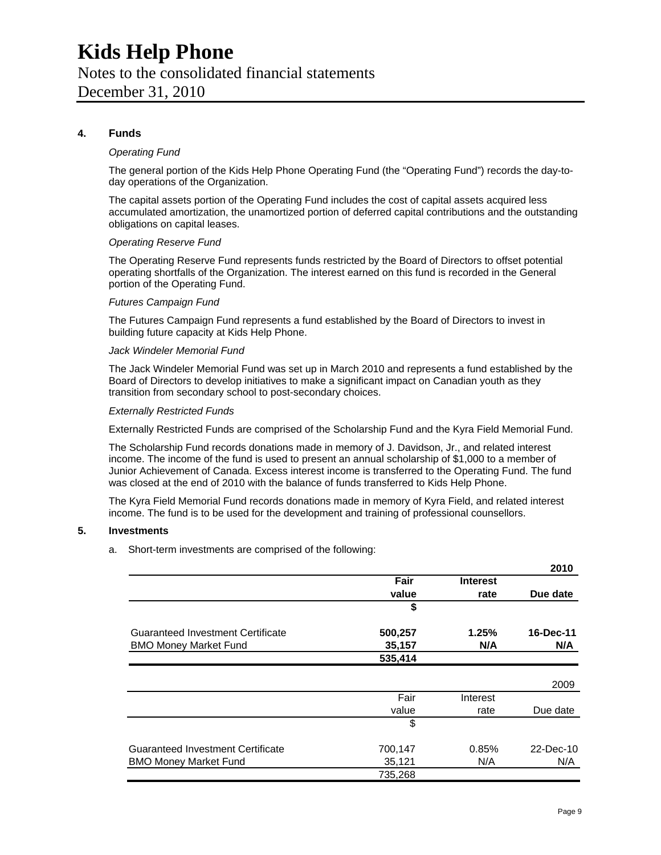# Notes to the consolidated financial statements

December 31, 2010

#### **4. Funds**

#### *Operating Fund*

The general portion of the Kids Help Phone Operating Fund (the "Operating Fund") records the day-today operations of the Organization.

The capital assets portion of the Operating Fund includes the cost of capital assets acquired less accumulated amortization, the unamortized portion of deferred capital contributions and the outstanding obligations on capital leases.

#### *Operating Reserve Fund*

The Operating Reserve Fund represents funds restricted by the Board of Directors to offset potential operating shortfalls of the Organization. The interest earned on this fund is recorded in the General portion of the Operating Fund.

#### *Futures Campaign Fund*

The Futures Campaign Fund represents a fund established by the Board of Directors to invest in building future capacity at Kids Help Phone.

#### *Jack Windeler Memorial Fund*

The Jack Windeler Memorial Fund was set up in March 2010 and represents a fund established by the Board of Directors to develop initiatives to make a significant impact on Canadian youth as they transition from secondary school to post-secondary choices.

#### *Externally Restricted Funds*

Externally Restricted Funds are comprised of the Scholarship Fund and the Kyra Field Memorial Fund.

The Scholarship Fund records donations made in memory of J. Davidson, Jr., and related interest income. The income of the fund is used to present an annual scholarship of \$1,000 to a member of Junior Achievement of Canada. Excess interest income is transferred to the Operating Fund. The fund was closed at the end of 2010 with the balance of funds transferred to Kids Help Phone.

The Kyra Field Memorial Fund records donations made in memory of Kyra Field, and related interest income. The fund is to be used for the development and training of professional counsellors.

#### **5. Investments**

a. Short-term investments are comprised of the following:

|                                          |         |                 | 2010      |
|------------------------------------------|---------|-----------------|-----------|
|                                          | Fair    | <b>Interest</b> |           |
|                                          | value   | rate            | Due date  |
|                                          | \$      |                 |           |
| Guaranteed Investment Certificate        | 500,257 | 1.25%           | 16-Dec-11 |
| <b>BMO Money Market Fund</b>             | 35,157  | N/A             | N/A       |
|                                          | 535,414 |                 |           |
|                                          |         |                 | 2009      |
|                                          | Fair    | Interest        |           |
|                                          | value   | rate            | Due date  |
|                                          | \$      |                 |           |
| <b>Guaranteed Investment Certificate</b> | 700,147 | 0.85%           | 22-Dec-10 |
| <b>BMO Money Market Fund</b>             | 35,121  | N/A             | N/A       |
|                                          | 735,268 |                 |           |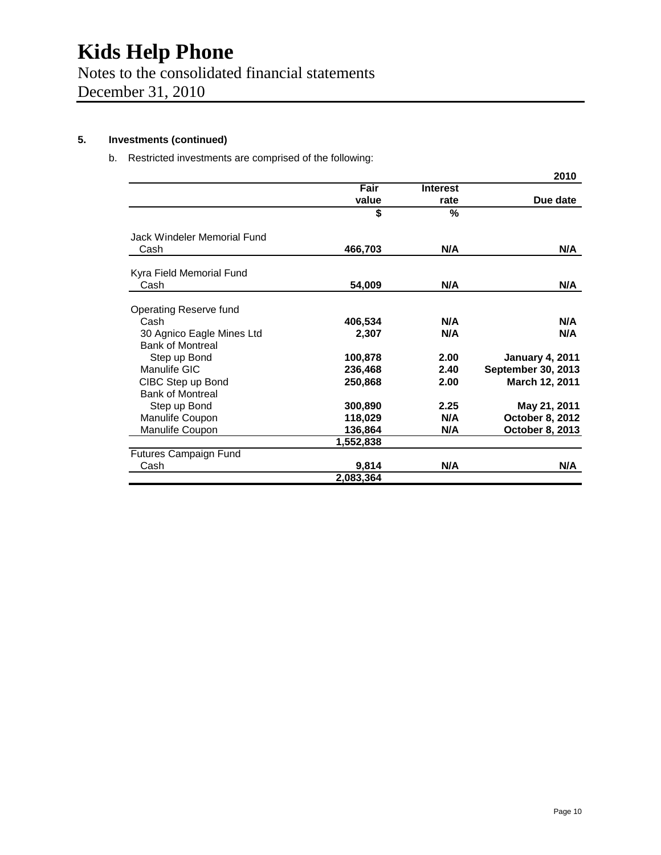Notes to the consolidated financial statements December 31, 2010

#### **5. Investments (continued)**

b. Restricted investments are comprised of the following:

|                             |           |                 | 2010                      |
|-----------------------------|-----------|-----------------|---------------------------|
|                             | Fair      | <b>Interest</b> |                           |
|                             | value     | rate            | Due date                  |
|                             | \$        | %               |                           |
| Jack Windeler Memorial Fund |           |                 |                           |
| Cash                        | 466,703   | N/A             | N/A                       |
| Kyra Field Memorial Fund    |           |                 |                           |
| Cash                        | 54,009    | N/A             | N/A                       |
| Operating Reserve fund      |           |                 |                           |
| Cash                        | 406,534   | N/A             | N/A                       |
| 30 Agnico Eagle Mines Ltd   | 2,307     | N/A             | N/A                       |
| <b>Bank of Montreal</b>     |           |                 |                           |
| Step up Bond                | 100,878   | 2.00            | <b>January 4, 2011</b>    |
| Manulife GIC                | 236,468   | 2.40            | <b>September 30, 2013</b> |
| CIBC Step up Bond           | 250,868   | 2.00            | March 12, 2011            |
| <b>Bank of Montreal</b>     |           |                 |                           |
| Step up Bond                | 300,890   | 2.25            | May 21, 2011              |
| Manulife Coupon             | 118,029   | N/A             | October 8, 2012           |
| Manulife Coupon             | 136,864   | N/A             | October 8, 2013           |
|                             | 1,552,838 |                 |                           |
| Futures Campaign Fund       |           |                 |                           |
| Cash                        | 9,814     | N/A             | N/A                       |
|                             | 2,083,364 |                 |                           |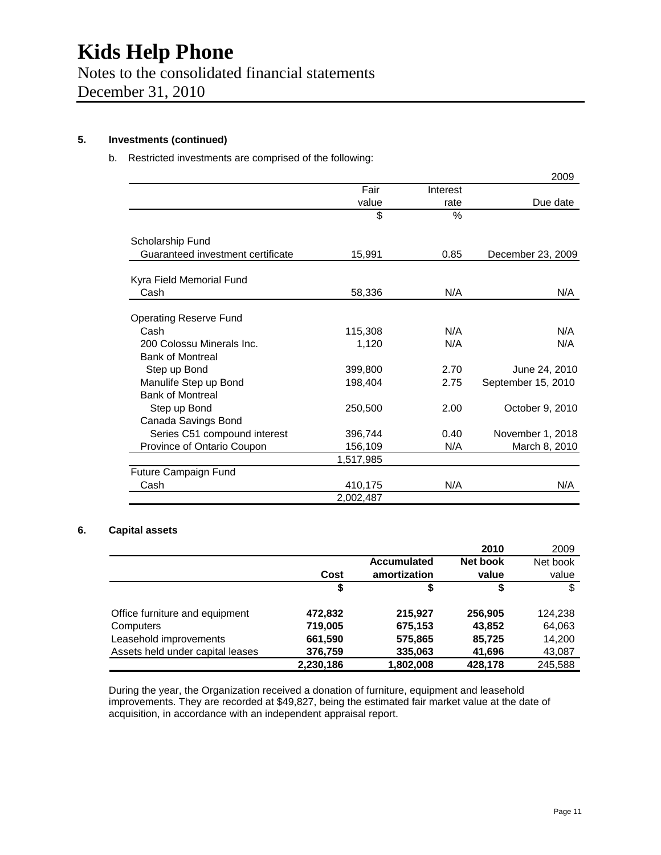Notes to the consolidated financial statements December 31, 2010

#### **5. Investments (continued)**

b. Restricted investments are comprised of the following:

|                                   |           |          | 2009               |
|-----------------------------------|-----------|----------|--------------------|
|                                   | Fair      | Interest |                    |
|                                   | value     | rate     | Due date           |
|                                   | \$        | %        |                    |
| Scholarship Fund                  |           |          |                    |
| Guaranteed investment certificate | 15,991    | 0.85     | December 23, 2009  |
| Kyra Field Memorial Fund          |           |          |                    |
| Cash                              | 58,336    | N/A      | N/A                |
| <b>Operating Reserve Fund</b>     |           |          |                    |
| Cash                              | 115,308   | N/A      | N/A                |
| 200 Colossu Minerals Inc.         | 1,120     | N/A      | N/A                |
| <b>Bank of Montreal</b>           |           |          |                    |
| Step up Bond                      | 399,800   | 2.70     | June 24, 2010      |
| Manulife Step up Bond             | 198,404   | 2.75     | September 15, 2010 |
| <b>Bank of Montreal</b>           |           |          |                    |
| Step up Bond                      | 250,500   | 2.00     | October 9, 2010    |
| Canada Savings Bond               |           |          |                    |
| Series C51 compound interest      | 396,744   | 0.40     | November 1, 2018   |
| Province of Ontario Coupon        | 156,109   | N/A      | March 8, 2010      |
|                                   | 1,517,985 |          |                    |
| Future Campaign Fund              |           |          |                    |
| Cash                              | 410,175   | N/A      | N/A                |
|                                   | 2,002,487 |          |                    |

#### **6. Capital assets**

|                                  |           |                    | 2010     | 2009     |
|----------------------------------|-----------|--------------------|----------|----------|
|                                  |           | <b>Accumulated</b> | Net book | Net book |
|                                  | Cost      | amortization       | value    | value    |
|                                  | \$        | S                  | \$       | \$       |
| Office furniture and equipment   | 472,832   | 215,927            | 256,905  | 124,238  |
| Computers                        | 719,005   | 675,153            | 43.852   | 64,063   |
| Leasehold improvements           | 661,590   | 575,865            | 85,725   | 14,200   |
| Assets held under capital leases | 376,759   | 335,063            | 41,696   | 43,087   |
|                                  | 2,230,186 | 1,802,008          | 428,178  | 245.588  |

During the year, the Organization received a donation of furniture, equipment and leasehold improvements. They are recorded at \$49,827, being the estimated fair market value at the date of acquisition, in accordance with an independent appraisal report.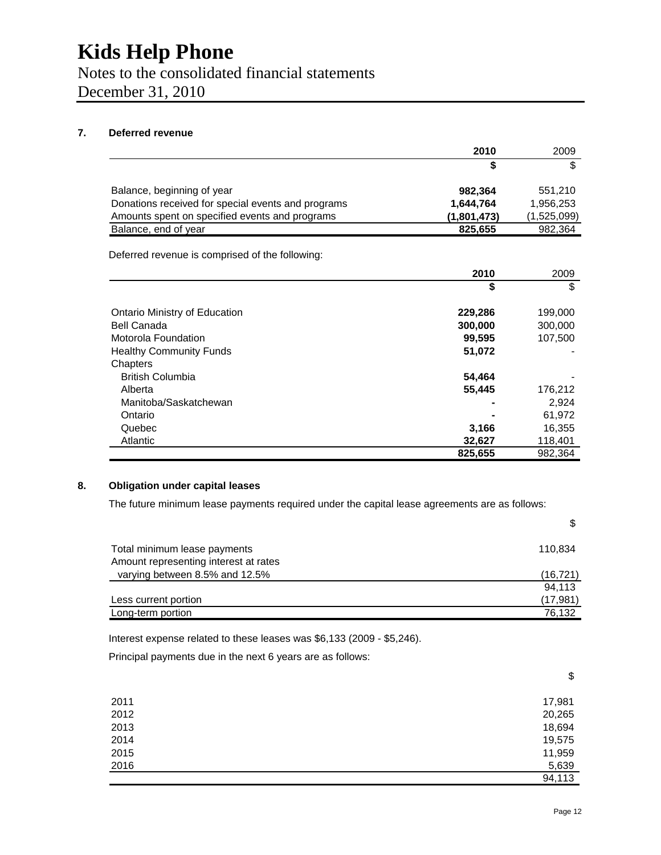Notes to the consolidated financial statements December 31, 2010

#### **7. Deferred revenue**

|                                                    | 2010        | 2009        |
|----------------------------------------------------|-------------|-------------|
|                                                    |             |             |
| Balance, beginning of year                         | 982.364     | 551.210     |
| Donations received for special events and programs | 1,644,764   | 1,956,253   |
| Amounts spent on specified events and programs     | (1,801,473) | (1,525,099) |
| Balance, end of year                               | 825.655     | 982.364     |

Deferred revenue is comprised of the following:

|                                | 2010    | 2009    |
|--------------------------------|---------|---------|
|                                | \$      | \$      |
| Ontario Ministry of Education  | 229,286 | 199,000 |
| <b>Bell Canada</b>             | 300,000 | 300,000 |
| Motorola Foundation            | 99,595  | 107,500 |
| <b>Healthy Community Funds</b> | 51,072  |         |
| Chapters                       |         |         |
| <b>British Columbia</b>        | 54,464  |         |
| Alberta                        | 55,445  | 176,212 |
| Manitoba/Saskatchewan          |         | 2.924   |
| Ontario                        |         | 61,972  |
| Quebec                         | 3,166   | 16,355  |
| Atlantic                       | 32,627  | 118,401 |
|                                | 825,655 | 982,364 |

#### **8. Obligation under capital leases**

The future minimum lease payments required under the capital lease agreements are as follows:

| Total minimum lease payments          | 110.834   |
|---------------------------------------|-----------|
| Amount representing interest at rates |           |
| varying between 8.5% and 12.5%        | (16,721)  |
|                                       | 94,113    |
| Less current portion                  | (17, 981) |
| Long-term portion                     | 76,132    |

Interest expense related to these leases was \$6,133 (2009 - \$5,246).

Principal payments due in the next 6 years are as follows:

2011 17,981 2012 20,265 2013 18,694 2014 19,575 2015 11,959  $2016$  5,639 94,113

\$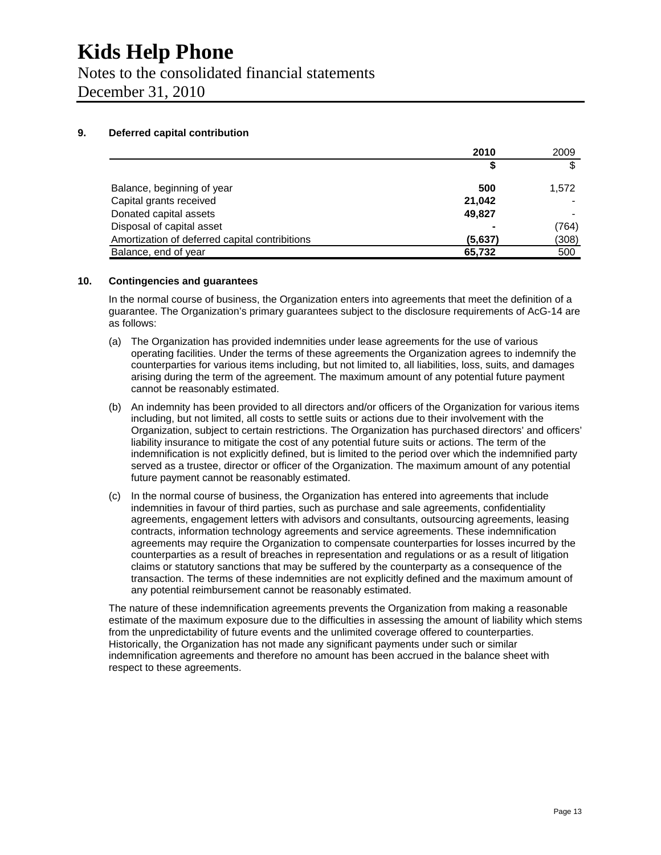Notes to the consolidated financial statements December 31, 2010

#### **9. Deferred capital contribution**

|                                                | 2010    | 2009  |
|------------------------------------------------|---------|-------|
|                                                | \$      | \$    |
| Balance, beginning of year                     | 500     | 1.572 |
| Capital grants received                        | 21,042  |       |
| Donated capital assets                         | 49,827  |       |
| Disposal of capital asset                      |         | (764) |
| Amortization of deferred capital contribitions | (5,637) | (308) |
| Balance, end of year                           | 65,732  | 500   |

#### **10. Contingencies and guarantees**

In the normal course of business, the Organization enters into agreements that meet the definition of a guarantee. The Organization's primary guarantees subject to the disclosure requirements of AcG-14 are as follows:

- (a) The Organization has provided indemnities under lease agreements for the use of various operating facilities. Under the terms of these agreements the Organization agrees to indemnify the counterparties for various items including, but not limited to, all liabilities, loss, suits, and damages arising during the term of the agreement. The maximum amount of any potential future payment cannot be reasonably estimated.
- (b) An indemnity has been provided to all directors and/or officers of the Organization for various items including, but not limited, all costs to settle suits or actions due to their involvement with the Organization, subject to certain restrictions. The Organization has purchased directors' and officers' liability insurance to mitigate the cost of any potential future suits or actions. The term of the indemnification is not explicitly defined, but is limited to the period over which the indemnified party served as a trustee, director or officer of the Organization. The maximum amount of any potential future payment cannot be reasonably estimated.
- (c) In the normal course of business, the Organization has entered into agreements that include indemnities in favour of third parties, such as purchase and sale agreements, confidentiality agreements, engagement letters with advisors and consultants, outsourcing agreements, leasing contracts, information technology agreements and service agreements. These indemnification agreements may require the Organization to compensate counterparties for losses incurred by the counterparties as a result of breaches in representation and regulations or as a result of litigation claims or statutory sanctions that may be suffered by the counterparty as a consequence of the transaction. The terms of these indemnities are not explicitly defined and the maximum amount of any potential reimbursement cannot be reasonably estimated.

The nature of these indemnification agreements prevents the Organization from making a reasonable estimate of the maximum exposure due to the difficulties in assessing the amount of liability which stems from the unpredictability of future events and the unlimited coverage offered to counterparties. Historically, the Organization has not made any significant payments under such or similar indemnification agreements and therefore no amount has been accrued in the balance sheet with respect to these agreements.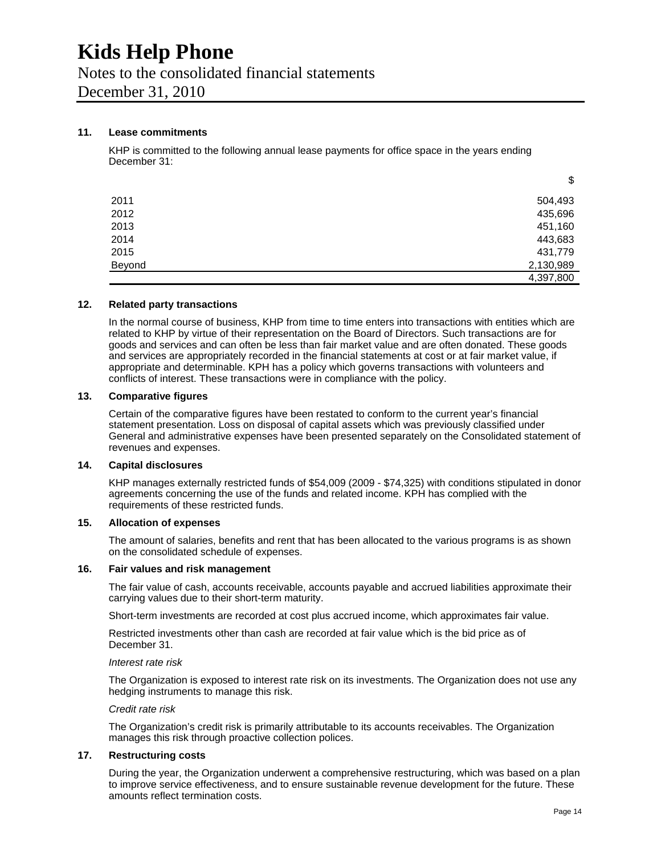# Notes to the consolidated financial statements

December 31, 2010

#### **11. Lease commitments**

KHP is committed to the following annual lease payments for office space in the years ending December 31:

|        | Ψ         |
|--------|-----------|
| 2011   | 504,493   |
| 2012   | 435,696   |
| 2013   | 451,160   |
| 2014   | 443,683   |
| 2015   | 431,779   |
| Beyond | 2,130,989 |
|        | 4,397,800 |

#### **12. Related party transactions**

In the normal course of business, KHP from time to time enters into transactions with entities which are related to KHP by virtue of their representation on the Board of Directors. Such transactions are for goods and services and can often be less than fair market value and are often donated. These goods and services are appropriately recorded in the financial statements at cost or at fair market value, if appropriate and determinable. KPH has a policy which governs transactions with volunteers and conflicts of interest. These transactions were in compliance with the policy.

#### **13. Comparative figures**

Certain of the comparative figures have been restated to conform to the current year's financial statement presentation. Loss on disposal of capital assets which was previously classified under General and administrative expenses have been presented separately on the Consolidated statement of revenues and expenses.

#### **14. Capital disclosures**

KHP manages externally restricted funds of \$54,009 (2009 - \$74,325) with conditions stipulated in donor agreements concerning the use of the funds and related income. KPH has complied with the requirements of these restricted funds.

#### **15. Allocation of expenses**

The amount of salaries, benefits and rent that has been allocated to the various programs is as shown on the consolidated schedule of expenses.

#### **16. Fair values and risk management**

The fair value of cash, accounts receivable, accounts payable and accrued liabilities approximate their carrying values due to their short-term maturity.

Short-term investments are recorded at cost plus accrued income, which approximates fair value.

Restricted investments other than cash are recorded at fair value which is the bid price as of December 31.

#### *Interest rate risk*

The Organization is exposed to interest rate risk on its investments. The Organization does not use any hedging instruments to manage this risk.

#### *Credit rate risk*

The Organization's credit risk is primarily attributable to its accounts receivables. The Organization manages this risk through proactive collection polices.

#### **17. Restructuring costs**

During the year, the Organization underwent a comprehensive restructuring, which was based on a plan to improve service effectiveness, and to ensure sustainable revenue development for the future. These amounts reflect termination costs.

\$